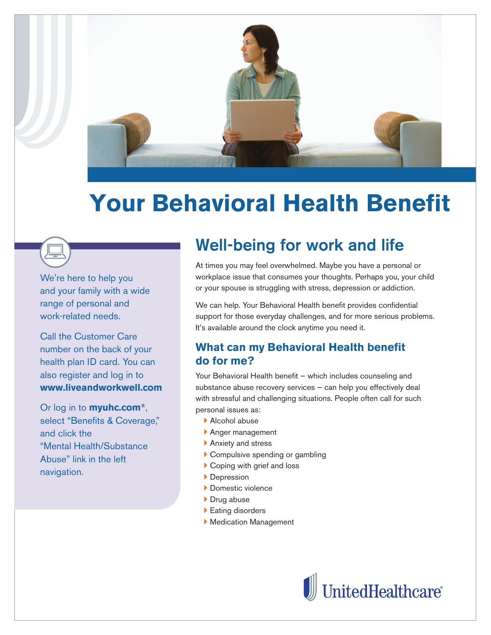

# **Your Behavioral Health Benefit**

We're here to help you and your family with a wide range of personal and work-related needs.

Call the Customer Care number on the back of your health plan ID card. You can also register and log in to **www.liveandworkwell.com** 

Or log in to **myuhc.com®**, select "Benefits & Coverage," and click the "Mental Health/Substance Abuse" link in the left navigation.

# **Well-being for work and life**

At times you may feel overwhelmed. Maybe you have a personal or workplace issue that consumes your thoughts. Perhaps you, your child or your spouse is struggling with stress, depression or addiction.

We can help. Your Behavioral Health benefit provides confidential support for those everyday challenges, and for more serious problems. It's available around the clock anytime you need it.

# **What can my Behavioral Health benefit do for me?**

Your Behavioral Health benefit – which includes counseling and substance abuse recovery services — can help you effectively deal with stressful and challenging situations. People often call for such personal issues as:

- ▶ Alcohol abuse
- ` Anger management
- ▶ Anxiety and stress
- ▶ Compulsive spending or gambling
- $\triangleright$  Coping with grief and loss
- **Depression**
- ` Domestic violence
- ▶ Drug abuse
- **Eating disorders**
- ` Medication Management